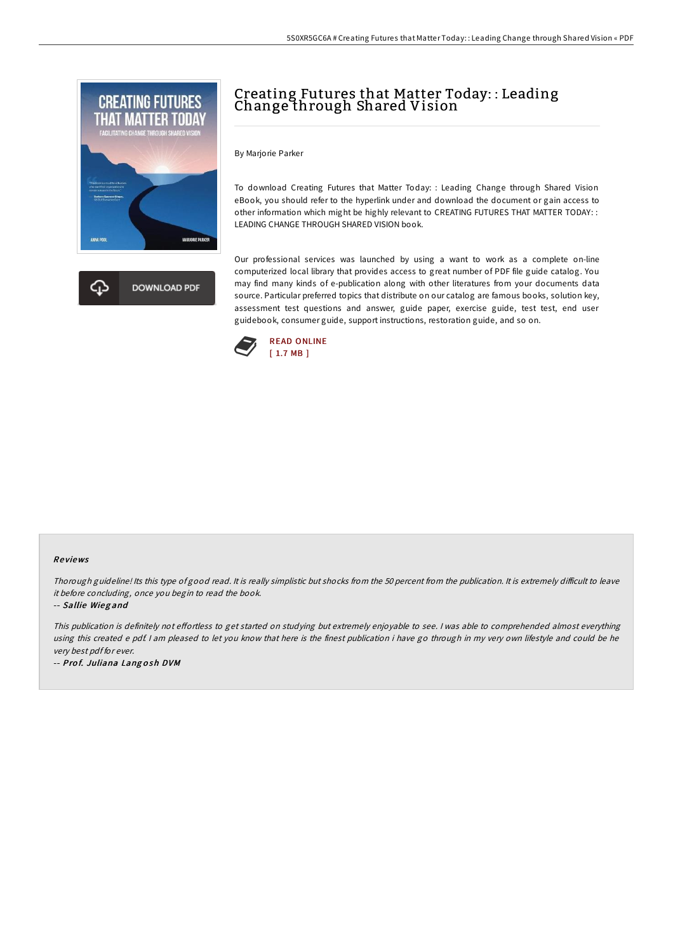

**DOWNLOAD PDF** 

## Creating Futures that Matter Today: : Leading Change through Shared Vision

By Marjorie Parker

To download Creating Futures that Matter Today: : Leading Change through Shared Vision eBook, you should refer to the hyperlink under and download the document or gain access to other information which might be highly relevant to CREATING FUTURES THAT MATTER TODAY: : LEADING CHANGE THROUGH SHARED VISION book.

Our professional services was launched by using a want to work as a complete on-line computerized local library that provides access to great number of PDF file guide catalog. You may find many kinds of e-publication along with other literatures from your documents data source. Particular preferred topics that distribute on our catalog are famous books, solution key, assessment test questions and answer, guide paper, exercise guide, test test, end user guidebook, consumer guide, support instructions, restoration guide, and so on.



## Re views

Thorough guideline! Its this type of good read. It is really simplistic but shocks from the 50 percent from the publication. It is extremely difficult to leave it before concluding, once you begin to read the book.

-- Sallie Wieg and

This publication is definitely not effortless to get started on studying but extremely enjoyable to see. I was able to comprehended almost everything using this created <sup>e</sup> pdf. <sup>I</sup> am pleased to let you know that here is the finest publication i have go through in my very own lifestyle and could be he very best pdf for ever.

-- Prof. Juliana Langosh DVM